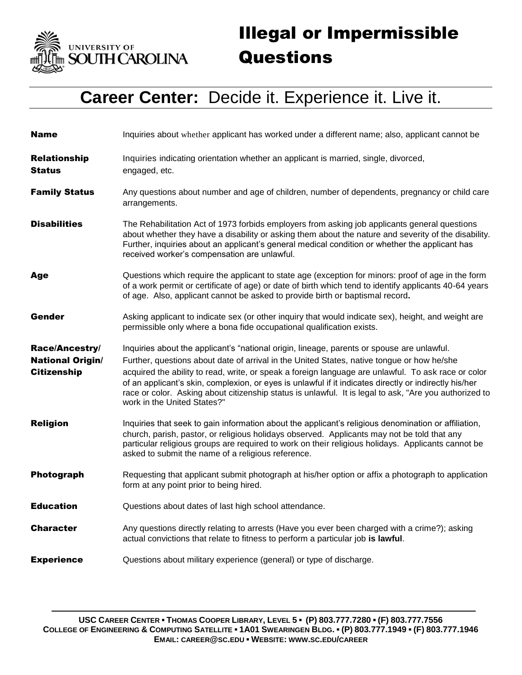

## Illegal or Impermissible Questions

## **Career Center:** Decide it. Experience it. Live it.

| <b>Name</b>                                                     | Inquiries about whether applicant has worked under a different name; also, applicant cannot be                                                                                                                                                                                                                                                                                                                                                                                                                                                     |
|-----------------------------------------------------------------|----------------------------------------------------------------------------------------------------------------------------------------------------------------------------------------------------------------------------------------------------------------------------------------------------------------------------------------------------------------------------------------------------------------------------------------------------------------------------------------------------------------------------------------------------|
| <b>Relationship</b><br>Status                                   | Inquiries indicating orientation whether an applicant is married, single, divorced,<br>engaged, etc.                                                                                                                                                                                                                                                                                                                                                                                                                                               |
| <b>Family Status</b>                                            | Any questions about number and age of children, number of dependents, pregnancy or child care<br>arrangements.                                                                                                                                                                                                                                                                                                                                                                                                                                     |
| <b>Disabilities</b>                                             | The Rehabilitation Act of 1973 forbids employers from asking job applicants general questions<br>about whether they have a disability or asking them about the nature and severity of the disability.<br>Further, inquiries about an applicant's general medical condition or whether the applicant has<br>received worker's compensation are unlawful.                                                                                                                                                                                            |
| Age                                                             | Questions which require the applicant to state age (exception for minors: proof of age in the form<br>of a work permit or certificate of age) or date of birth which tend to identify applicants 40-64 years<br>of age. Also, applicant cannot be asked to provide birth or baptismal record.                                                                                                                                                                                                                                                      |
| Gender                                                          | Asking applicant to indicate sex (or other inquiry that would indicate sex), height, and weight are<br>permissible only where a bona fide occupational qualification exists.                                                                                                                                                                                                                                                                                                                                                                       |
| Race/Ancestry/<br><b>National Origin/</b><br><b>Citizenship</b> | Inquiries about the applicant's "national origin, lineage, parents or spouse are unlawful.<br>Further, questions about date of arrival in the United States, native tongue or how he/she<br>acquired the ability to read, write, or speak a foreign language are unlawful. To ask race or color<br>of an applicant's skin, complexion, or eyes is unlawful if it indicates directly or indirectly his/her<br>race or color. Asking about citizenship status is unlawful. It is legal to ask, "Are you authorized to<br>work in the United States?" |
| <b>Religion</b>                                                 | Inquiries that seek to gain information about the applicant's religious denomination or affiliation,<br>church, parish, pastor, or religious holidays observed. Applicants may not be told that any<br>particular religious groups are required to work on their religious holidays. Applicants cannot be<br>asked to submit the name of a religious reference.                                                                                                                                                                                    |
| Photograph                                                      | Requesting that applicant submit photograph at his/her option or affix a photograph to application<br>form at any point prior to being hired.                                                                                                                                                                                                                                                                                                                                                                                                      |
| <b>Education</b>                                                | Questions about dates of last high school attendance.                                                                                                                                                                                                                                                                                                                                                                                                                                                                                              |
| <b>Character</b>                                                | Any questions directly relating to arrests (Have you ever been charged with a crime?); asking<br>actual convictions that relate to fitness to perform a particular job is lawful.                                                                                                                                                                                                                                                                                                                                                                  |
| <b>Experience</b>                                               | Questions about military experience (general) or type of discharge.                                                                                                                                                                                                                                                                                                                                                                                                                                                                                |